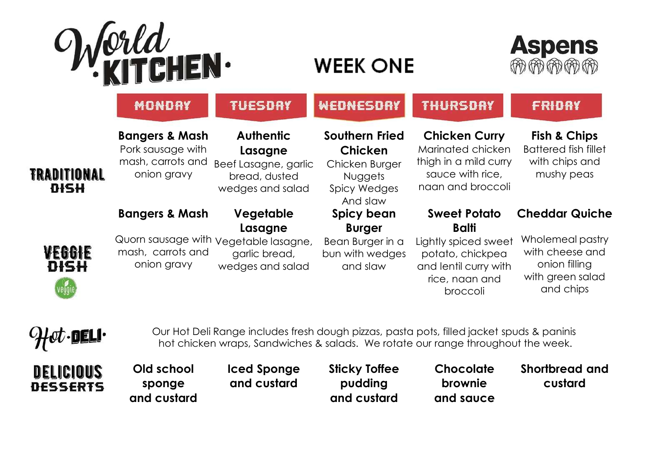

## **WEEK ONE**



|                                   | <b>MONDAY</b>                                                                      | <b>TUESDAY</b>                                                                           | WEDNESDAY                                                                                                      | <b>THURSDAY</b>                                                                                                 | <b>FRIDAY</b>                                                                          |
|-----------------------------------|------------------------------------------------------------------------------------|------------------------------------------------------------------------------------------|----------------------------------------------------------------------------------------------------------------|-----------------------------------------------------------------------------------------------------------------|----------------------------------------------------------------------------------------|
| <b>TRADITIONAL</b><br><b>DISH</b> | <b>Bangers &amp; Mash</b><br>Pork sausage with<br>mash, carrots and<br>onion gravy | <b>Authentic</b><br>Lasagne<br>Beef Lasagne, garlic<br>bread, dusted<br>wedges and salad | <b>Southern Fried</b><br><b>Chicken</b><br>Chicken Burger<br><b>Nuggets</b><br><b>Spicy Wedges</b><br>And slaw | <b>Chicken Curry</b><br>Marinated chicken<br>thigh in a mild curry<br>sauce with rice,<br>naan and broccoli     | <b>Fish &amp; Chips</b><br><b>Battered fish fillet</b><br>with chips and<br>mushy peas |
|                                   | <b>Bangers &amp; Mash</b>                                                          | Vegetable                                                                                | Spicy bean                                                                                                     | <b>Sweet Potato</b>                                                                                             | <b>Cheddar Quiche</b>                                                                  |
| WEGGIE<br><b>DISH</b>             | mash, carrots and<br>onion gravy                                                   | Lasagne<br>Quorn sausage with yegetable lasagne,<br>garlic bread,<br>wedges and salad    | <b>Burger</b><br>Bean Burger in a<br>bun with wedges<br>and slaw                                               | <b>Balti</b><br>Lightly spiced sweet<br>potato, chickpea<br>and lentil curry with<br>rice, naan and<br>broccoli | Wholemeal pastry<br>with cheese and<br>onion filling<br>with green salad<br>and chips  |

Our Hot Deli Range includes fresh dough pizzas, pasta pots, filled jacket spuds & paninis hot chicken wraps, Sandwiches & salads. We rotate our range throughout the week.

**Old school Iced Sponge Sticky Toffee Chocolate Shortbread and**  DELICIOUS **and custard pudding brownie custardDESSERTS sponge and custard and custard and sauce**